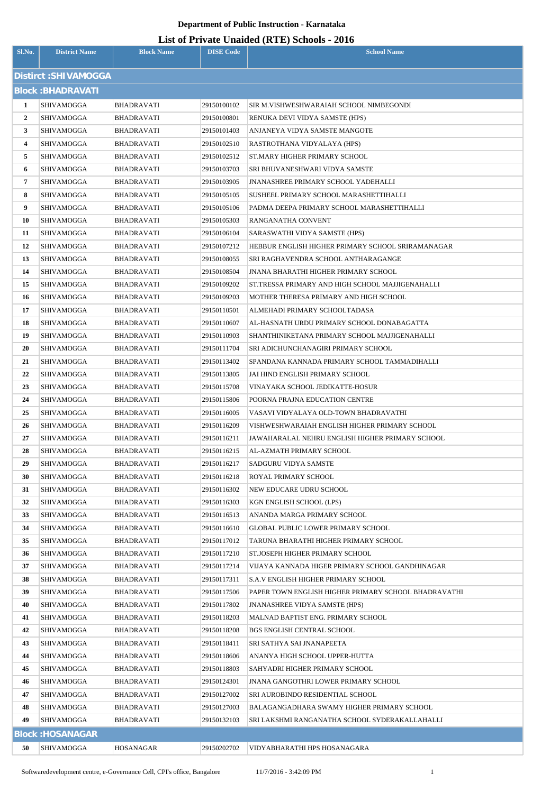| Sl.No.                   | <b>District Name</b>    | <b>Block Name</b> | <b>DISE Code</b> | <b>School Name</b>                                   |  |  |
|--------------------------|-------------------------|-------------------|------------------|------------------------------------------------------|--|--|
| Distirct: SHIVAMOGGA     |                         |                   |                  |                                                      |  |  |
| <b>Block: BHADRAVATI</b> |                         |                   |                  |                                                      |  |  |
| 1                        | SHIVAMOGGA              | <b>BHADRAVATI</b> | 29150100102      | SIR M.VISHWESHWARAIAH SCHOOL NIMBEGONDI              |  |  |
| $\mathbf{2}$             | SHIVAMOGGA              | <b>BHADRAVATI</b> | 29150100801      | RENUKA DEVI VIDYA SAMSTE (HPS)                       |  |  |
| 3                        | SHIVAMOGGA              | BHADRAVATI        | 29150101403      | ANJANEYA VIDYA SAMSTE MANGOTE                        |  |  |
| 4                        | SHIVAMOGGA              | BHADRAVATI        | 29150102510      | RASTROTHANA VIDYALAYA (HPS)                          |  |  |
| 5                        | SHIVAMOGGA              | BHADRAVATI        | 29150102512      | ST.MARY HIGHER PRIMARY SCHOOL                        |  |  |
| 6                        | SHIVAMOGGA              | BHADRAVATI        | 29150103703      | SRI BHUVANESHWARI VIDYA SAMSTE                       |  |  |
| 7                        | SHIVAMOGGA              | BHADRAVATI        | 29150103905      | <b>JNANASHREE PRIMARY SCHOOL YADEHALLI</b>           |  |  |
| 8                        | SHIVAMOGGA              | BHADRAVATI        | 29150105105      | SUSHEEL PRIMARY SCHOOL MARASHETTIHALLI               |  |  |
| 9                        | SHIVAMOGGA              | BHADRAVATI        | 29150105106      | PADMA DEEPA PRIMARY SCHOOL MARASHETTIHALLI           |  |  |
| 10                       | SHIVAMOGGA              | <b>BHADRAVATI</b> | 29150105303      | RANGANATHA CONVENT                                   |  |  |
| 11                       | SHIVAMOGGA              | BHADRAVATI        | 29150106104      | SARASWATHI VIDYA SAMSTE (HPS)                        |  |  |
| 12                       | SHIVAMOGGA              | BHADRAVATI        | 29150107212      | HEBBUR ENGLISH HIGHER PRIMARY SCHOOL SRIRAMANAGAR    |  |  |
| 13                       | SHIVAMOGGA              | <b>BHADRAVATI</b> | 29150108055      | SRI RAGHAVENDRA SCHOOL ANTHARAGANGE                  |  |  |
| 14                       | SHIVAMOGGA              | BHADRAVATI        | 29150108504      | <b>JNANA BHARATHI HIGHER PRIMARY SCHOOL</b>          |  |  |
| 15                       | SHIVAMOGGA              | BHADRAVATI        | 29150109202      | ST.TRESSA PRIMARY AND HIGH SCHOOL MAJJIGENAHALLI     |  |  |
| 16                       | SHIVAMOGGA              | BHADRAVATI        | 29150109203      | MOTHER THERESA PRIMARY AND HIGH SCHOOL               |  |  |
| 17                       | SHIVAMOGGA              | <b>BHADRAVATI</b> | 29150110501      | ALMEHADI PRIMARY SCHOOLTADASA                        |  |  |
| 18                       | SHIVAMOGGA              | <b>BHADRAVATI</b> | 29150110607      | AL-HASNATH URDU PRIMARY SCHOOL DONABAGATTA           |  |  |
| 19                       | SHIVAMOGGA              | BHADRAVATI        | 29150110903      | SHANTHINIKETANA PRIMARY SCHOOL MAJJIGENAHALLI        |  |  |
| 20                       | SHIVAMOGGA              | <b>BHADRAVATI</b> | 29150111704      | SRI ADICHUNCHANAGIRI PRIMARY SCHOOL                  |  |  |
| 21                       | SHIVAMOGGA              | <b>BHADRAVATI</b> | 29150113402      | SPANDANA KANNADA PRIMARY SCHOOL TAMMADIHALLI         |  |  |
| 22                       | SHIVAMOGGA              | <b>BHADRAVATI</b> | 29150113805      | JAI HIND ENGLISH PRIMARY SCHOOL                      |  |  |
| 23                       | SHIVAMOGGA              | BHADRAVATI        | 29150115708      | VINAYAKA SCHOOL JEDIKATTE-HOSUR                      |  |  |
| 24                       | SHIVAMOGGA              | <b>BHADRAVATI</b> | 29150115806      | POORNA PRAJNA EDUCATION CENTRE                       |  |  |
| 25                       | <b>SHIVAMOGGA</b>       | <b>BHADRAVATI</b> | 29150116005      | VASAVI VIDYALAYA OLD-TOWN BHADRAVATHI                |  |  |
| 26                       | SHIVAMOGGA              | BHADRAVATI        | 29150116209      | VISHWESHWARAIAH ENGLISH HIGHER PRIMARY SCHOOL        |  |  |
| 27                       | <b>SHIVAMOGGA</b>       | <b>BHADRAVATI</b> | 29150116211      | JAWAHARALAL NEHRU ENGLISH HIGHER PRIMARY SCHOOL      |  |  |
| 28                       | SHIVAMOGGA              | BHADRAVATI        | 29150116215      | AL-AZMATH PRIMARY SCHOOL                             |  |  |
| 29                       | SHIVAMOGGA              | BHADRAVATI        | 29150116217      | SADGURU VIDYA SAMSTE                                 |  |  |
| 30                       | SHIVAMOGGA              | BHADRAVATI        | 29150116218      | ROYAL PRIMARY SCHOOL                                 |  |  |
| 31                       | SHIVAMOGGA              | BHADRAVATI        | 29150116302      | NEW EDUCARE UDRU SCHOOL                              |  |  |
| 32                       | SHIVAMOGGA              | BHADRAVATI        | 29150116303      | KGN ENGLISH SCHOOL (LPS)                             |  |  |
| 33                       | SHIVAMOGGA              | BHADRAVATI        | 29150116513      | ANANDA MARGA PRIMARY SCHOOL                          |  |  |
| 34                       | SHIVAMOGGA              | BHADRAVATI        | 29150116610      | <b>GLOBAL PUBLIC LOWER PRIMARY SCHOOL</b>            |  |  |
| 35                       | SHIVAMOGGA              | BHADRAVATI        | 29150117012      | TARUNA BHARATHI HIGHER PRIMARY SCHOOL                |  |  |
| 36                       | SHIVAMOGGA              | BHADRAVATI        | 29150117210      | ST.JOSEPH HIGHER PRIMARY SCHOOL                      |  |  |
| 37                       | SHIVAMOGGA              | BHADRAVATI        | 29150117214      | VIJAYA KANNADA HIGER PRIMARY SCHOOL GANDHINAGAR      |  |  |
| 38                       | SHIVAMOGGA              | BHADRAVATI        | 29150117311      | S.A.V ENGLISH HIGHER PRIMARY SCHOOL                  |  |  |
| 39                       | SHIVAMOGGA              | BHADRAVATI        | 29150117506      | PAPER TOWN ENGLISH HIGHER PRIMARY SCHOOL BHADRAVATHI |  |  |
| 40                       | SHIVAMOGGA              | BHADRAVATI        | 29150117802      | <b>JNANASHREE VIDYA SAMSTE (HPS)</b>                 |  |  |
| 41                       | SHIVAMOGGA              | BHADRAVATI        | 29150118203      | MALNAD BAPTIST ENG. PRIMARY SCHOOL                   |  |  |
| 42                       | SHIVAMOGGA              | BHADRAVATI        | 29150118208      | <b>BGS ENGLISH CENTRAL SCHOOL</b>                    |  |  |
| 43                       | SHIVAMOGGA              | BHADRAVATI        | 29150118411      | SRI SATHYA SAI JNANAPEETA                            |  |  |
| 44                       | SHIVAMOGGA              | BHADRAVATI        | 29150118606      | ANANYA HIGH SCHOOL UPPER-HUTTA                       |  |  |
| 45                       | SHIVAMOGGA              | BHADRAVATI        | 29150118803      | SAHYADRI HIGHER PRIMARY SCHOOL                       |  |  |
| 46                       | SHIVAMOGGA              | BHADRAVATI        | 29150124301      | <b>JNANA GANGOTHRI LOWER PRIMARY SCHOOL</b>          |  |  |
| 47                       | SHIVAMOGGA              | BHADRAVATI        | 29150127002      | SRI AUROBINDO RESIDENTIAL SCHOOL                     |  |  |
| 48                       | SHIVAMOGGA              | BHADRAVATI        | 29150127003      | BALAGANGADHARA SWAMY HIGHER PRIMARY SCHOOL           |  |  |
| 49                       | SHIVAMOGGA              | BHADRAVATI        | 29150132103      | SRI LAKSHMI RANGANATHA SCHOOL SYDERAKALLAHALLI       |  |  |
|                          | <b>Block: HOSANAGAR</b> |                   |                  |                                                      |  |  |
| 50                       | SHIVAMOGGA              | <b>HOSANAGAR</b>  | 29150202702      | VIDYABHARATHI HPS HOSANAGARA                         |  |  |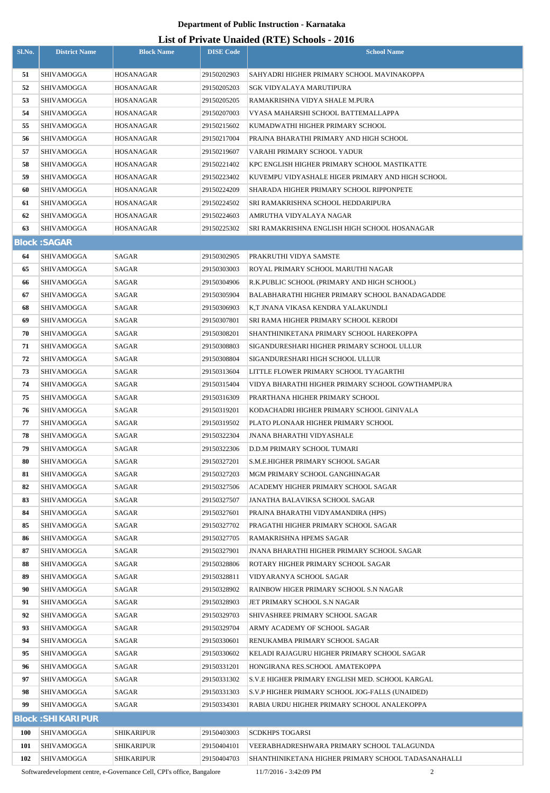## **List of Private Unaided (RTE) Schools - 2016**

| Sl.No.     | <b>District Name</b>     | <b>Block Name</b> | <b>DISE Code</b>           | <b>School Name</b>                                                    |
|------------|--------------------------|-------------------|----------------------------|-----------------------------------------------------------------------|
| 51         | SHIVAMOGGA               | HOSANAGAR         | 29150202903                | SAHYADRI HIGHER PRIMARY SCHOOL MAVINAKOPPA                            |
| 52         | SHIVAMOGGA               | HOSANAGAR         | 29150205203                | SGK VIDYALAYA MARUTIPURA                                              |
| 53         | SHIVAMOGGA               | HOSANAGAR         | 29150205205                | RAMAKRISHNA VIDYA SHALE M.PURA                                        |
| 54         | SHIVAMOGGA               | HOSANAGAR         | 29150207003                | VYASA MAHARSHI SCHOOL BATTEMALLAPPA                                   |
| 55         | SHIVAMOGGA               | HOSANAGAR         | 29150215602                | KUMADWATHI HIGHER PRIMARY SCHOOL                                      |
| 56         | SHIVAMOGGA               | HOSANAGAR         | 29150217004                | PRAJNA BHARATHI PRIMARY AND HIGH SCHOOL                               |
| 57         | SHIVAMOGGA               | HOSANAGAR         | 29150219607                | VARAHI PRIMARY SCHOOL YADUR                                           |
| 58         | SHIVAMOGGA               | HOSANAGAR         | 29150221402                | KPC ENGLISH HIGHER PRIMARY SCHOOL MASTIKATTE                          |
| 59         | SHIVAMOGGA               | HOSANAGAR         | 29150223402                | KUVEMPU VIDYASHALE HIGER PRIMARY AND HIGH SCHOOL                      |
| 60         | SHIVAMOGGA               | HOSANAGAR         | 29150224209                | SHARADA HIGHER PRIMARY SCHOOL RIPPONPETE                              |
| 61         | SHIVAMOGGA               | HOSANAGAR         | 29150224502                | SRI RAMAKRISHNA SCHOOL HEDDARIPURA                                    |
| 62         | SHIVAMOGGA               | HOSANAGAR         | 29150224603                | AMRUTHA VIDYALAYA NAGAR                                               |
| 63         | SHIVAMOGGA               | HOSANAGAR         | 29150225302                | SRI RAMAKRISHNA ENGLISH HIGH SCHOOL HOSANAGAR                         |
|            | <b>Block: SAGAR</b>      |                   |                            |                                                                       |
| 64         | SHIVAMOGGA               | SAGAR             | 29150302905                | PRAKRUTHI VIDYA SAMSTE                                                |
| 65         | SHIVAMOGGA               | SAGAR             | 29150303003                | ROYAL PRIMARY SCHOOL MARUTHI NAGAR                                    |
| 66         | SHIVAMOGGA               | SAGAR             | 29150304906                | R.K.PUBLIC SCHOOL (PRIMARY AND HIGH SCHOOL)                           |
| 67         | SHIVAMOGGA               | SAGAR             | 29150305904                | BALABHARATHI HIGHER PRIMARY SCHOOL BANADAGADDE                        |
| 68         | SHIVAMOGGA               | SAGAR             | 29150306903                | K.T JNANA VIKASA KENDRA YALAKUNDLI                                    |
| 69         | SHIVAMOGGA               | SAGAR             | 29150307801                | SRI RAMA HIGHER PRIMARY SCHOOL KERODI                                 |
| 70         | SHIVAMOGGA               | SAGAR             | 29150308201                | SHANTHINIKETANA PRIMARY SCHOOL HAREKOPPA                              |
| 71         | SHIVAMOGGA               | SAGAR             | 29150308803                | SIGANDURESHARI HIGHER PRIMARY SCHOOL ULLUR                            |
| 72         | SHIVAMOGGA               | SAGAR             | 29150308804                | SIGANDURESHARI HIGH SCHOOL ULLUR                                      |
| 73         | SHIVAMOGGA               | SAGAR             | 29150313604                | LITTLE FLOWER PRIMARY SCHOOL TYAGARTHI                                |
| 74         | SHIVAMOGGA               | SAGAR             | 29150315404                | VIDYA BHARATHI HIGHER PRIMARY SCHOOL GOWTHAMPURA                      |
| 75         | SHIVAMOGGA               | SAGAR             | 29150316309                | PRARTHANA HIGHER PRIMARY SCHOOL                                       |
| 76         | SHIVAMOGGA               | SAGAR             | 29150319201                | KODACHADRI HIGHER PRIMARY SCHOOL GINIVALA                             |
| 77         | SHIVAMOGGA               | SAGAR             | 29150319502                | PLATO PLONAAR HIGHER PRIMARY SCHOOL                                   |
| 78         | SHIVAMOGGA               | SAGAR             | 29150322304                | JNANA BHARATHI VIDYASHALE                                             |
| 79         | SHIVAMOGGA               | SAGAR             | 29150322306                | D.D.M PRIMARY SCHOOL TUMARI                                           |
| 80<br>81   | SHIVAMOGGA               | SAGAR<br>SAGAR    | 29150327201                | S.M.E.HIGHER PRIMARY SCHOOL SAGAR                                     |
| 82         | SHIVAMOGGA<br>SHIVAMOGGA | SAGAR             | 29150327203<br>29150327506 | MGM PRIMARY SCHOOL GANGHINAGAR<br>ACADEMY HIGHER PRIMARY SCHOOL SAGAR |
| 83         | SHIVAMOGGA               | SAGAR             | 29150327507                | JANATHA BALAVIKSA SCHOOL SAGAR                                        |
| 84         | SHIVAMOGGA               | SAGAR             | 29150327601                | PRAJNA BHARATHI VIDYAMANDIRA (HPS)                                    |
| 85         | SHIVAMOGGA               | SAGAR             | 29150327702                | PRAGATHI HIGHER PRIMARY SCHOOL SAGAR                                  |
| 86         | SHIVAMOGGA               | SAGAR             | 29150327705                | RAMAKRISHNA HPEMS SAGAR                                               |
| 87         | SHIVAMOGGA               | SAGAR             | 29150327901                | JNANA BHARATHI HIGHER PRIMARY SCHOOL SAGAR                            |
| 88         | SHIVAMOGGA               | SAGAR             | 29150328806                | ROTARY HIGHER PRIMARY SCHOOL SAGAR                                    |
| 89         | SHIVAMOGGA               | SAGAR             | 29150328811                | VIDYARANYA SCHOOL SAGAR                                               |
| 90         | SHIVAMOGGA               | SAGAR             | 29150328902                | RAINBOW HIGER PRIMARY SCHOOL S.N NAGAR                                |
| 91         | SHIVAMOGGA               | SAGAR             | 29150328903                | JET PRIMARY SCHOOL S.N NAGAR                                          |
| 92         | SHIVAMOGGA               | SAGAR             | 29150329703                | SHIVASHREE PRIMARY SCHOOL SAGAR                                       |
| 93         | SHIVAMOGGA               | SAGAR             | 29150329704                | ARMY ACADEMY OF SCHOOL SAGAR                                          |
| 94         | SHIVAMOGGA               | SAGAR             | 29150330601                | RENUKAMBA PRIMARY SCHOOL SAGAR                                        |
| 95         | SHIVAMOGGA               | SAGAR             | 29150330602                | KELADI RAJAGURU HIGHER PRIMARY SCHOOL SAGAR                           |
| 96         | SHIVAMOGGA               | SAGAR             | 29150331201                | HONGIRANA RES.SCHOOL AMATEKOPPA                                       |
| 97         | SHIVAMOGGA               | SAGAR             | 29150331302                | S.V.E HIGHER PRIMARY ENGLISH MED. SCHOOL KARGAL                       |
| 98         | SHIVAMOGGA               | SAGAR             | 29150331303                | S.V.P HIGHER PRIMARY SCHOOL JOG-FALLS (UNAIDED)                       |
| 99         | SHIVAMOGGA               | SAGAR             | 29150334301                | RABIA URDU HIGHER PRIMARY SCHOOL ANALEKOPPA                           |
|            | <b>Block: SHIKARIPUR</b> |                   |                            |                                                                       |
| <b>100</b> | <b>SHIVAMOGGA</b>        | <b>SHIKARIPUR</b> | 29150403003                | <b>SCDKHPS TOGARSI</b>                                                |
| 101        | <b>SHIVAMOGGA</b>        | <b>SHIKARIPUR</b> | 29150404101                | VEERABHADRESHWARA PRIMARY SCHOOL TALAGUNDA                            |
| 102        | SHIVAMOGGA               | <b>SHIKARIPUR</b> | 29150404703                | SHANTHINIKETANA HIGHER PRIMARY SCHOOL TADASANAHALLI                   |

Softwaredevelopment centre, e-Governance Cell, CPI's office, Bangalore 11/7/2016 - 3:42:09 PM 2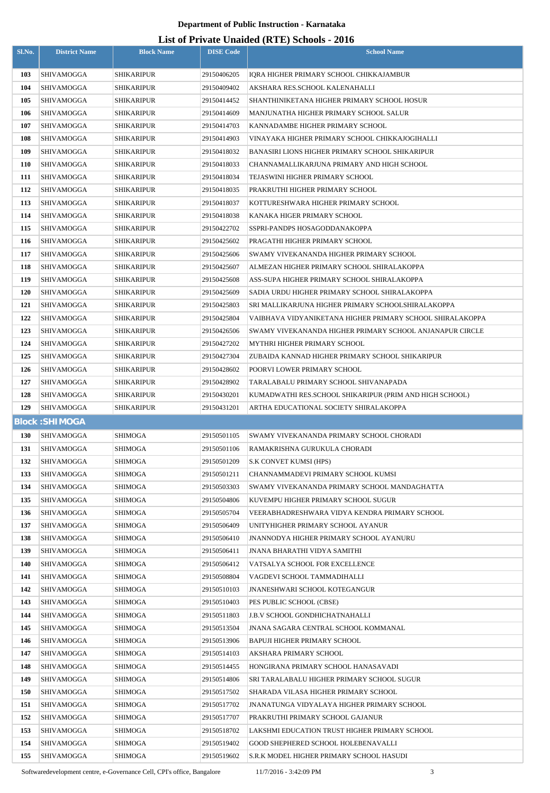# **List of Private Unaided (RTE) Schools - 2016**

|            |                       |                   |                  | LIST OF FITVALE UNAIGER (INTE) SCHOOLS - 2010             |
|------------|-----------------------|-------------------|------------------|-----------------------------------------------------------|
| Sl.No.     | <b>District Name</b>  | <b>Block Name</b> | <b>DISE Code</b> | <b>School Name</b>                                        |
| 103        | SHIVAMOGGA            | <b>SHIKARIPUR</b> | 29150406205      | IORA HIGHER PRIMARY SCHOOL CHIKKAJAMBUR                   |
| 104        | <b>SHIVAMOGGA</b>     | <b>SHIKARIPUR</b> | 29150409402      | AKSHARA RES.SCHOOL KALENAHALLI                            |
| 105        | <b>SHIVAMOGGA</b>     | <b>SHIKARIPUR</b> | 29150414452      | SHANTHINIKETANA HIGHER PRIMARY SCHOOL HOSUR               |
| 106        | <b>SHIVAMOGGA</b>     | <b>SHIKARIPUR</b> | 29150414609      | MANJUNATHA HIGHER PRIMARY SCHOOL SALUR                    |
| 107        | <b>SHIVAMOGGA</b>     | <b>SHIKARIPUR</b> | 29150414703      | KANNADAMBE HIGHER PRIMARY SCHOOL                          |
| 108        | SHIVAMOGGA            | <b>SHIKARIPUR</b> | 29150414903      | VINAYAKA HIGHER PRIMARY SCHOOL CHIKKAJOGIHALLI            |
| 109        | SHIVAMOGGA            | <b>SHIKARIPUR</b> | 29150418032      | BANASIRI LIONS HIGHER PRIMARY SCHOOL SHIKARIPUR           |
| <b>110</b> | <b>SHIVAMOGGA</b>     | <b>SHIKARIPUR</b> | 29150418033      | CHANNAMALLIKARJUNA PRIMARY AND HIGH SCHOOL                |
| 111        | SHIVAMOGGA            | <b>SHIKARIPUR</b> | 29150418034      | TEJASWINI HIGHER PRIMARY SCHOOL                           |
| 112        | <b>SHIVAMOGGA</b>     | <b>SHIKARIPUR</b> | 29150418035      | PRAKRUTHI HIGHER PRIMARY SCHOOL                           |
| 113        | SHIVAMOGGA            | <b>SHIKARIPUR</b> | 29150418037      | KOTTURESHWARA HIGHER PRIMARY SCHOOL                       |
| 114        | <b>SHIVAMOGGA</b>     | <b>SHIKARIPUR</b> | 29150418038      | KANAKA HIGER PRIMARY SCHOOL                               |
| 115        | SHIVAMOGGA            | <b>SHIKARIPUR</b> | 29150422702      | SSPRI-PANDPS HOSAGODDANAKOPPA                             |
| 116        | SHIVAMOGGA            | <b>SHIKARIPUR</b> | 29150425602      | PRAGATHI HIGHER PRIMARY SCHOOL                            |
| 117        | <b>SHIVAMOGGA</b>     | <b>SHIKARIPUR</b> | 29150425606      | SWAMY VIVEKANANDA HIGHER PRIMARY SCHOOL                   |
| 118        | SHIVAMOGGA            | <b>SHIKARIPUR</b> | 29150425607      | ALMEZAN HIGHER PRIMARY SCHOOL SHIRALAKOPPA                |
| 119        | SHIVAMOGGA            | <b>SHIKARIPUR</b> | 29150425608      | ASS-SUPA HIGHER PRIMARY SCHOOL SHIRALAKOPPA               |
| 120        | SHIVAMOGGA            | <b>SHIKARIPUR</b> | 29150425609      | SADIA URDU HIGHER PRIMARY SCHOOL SHIRALAKOPPA             |
| 121        | SHIVAMOGGA            | SHIKARIPUR        | 29150425803      | SRI MALLIKARJUNA HIGHER PRIMARY SCHOOLSHIRALAKOPPA        |
| 122        | <b>SHIVAMOGGA</b>     | <b>SHIKARIPUR</b> | 29150425804      | VAIBHAVA VIDYANIKETANA HIGHER PRIMARY SCHOOL SHIRALAKOPPA |
| 123        | SHIVAMOGGA            | SHIKARIPUR        | 29150426506      | SWAMY VIVEKANANDA HIGHER PRIMARY SCHOOL ANJANAPUR CIRCLE  |
| 124        | <b>SHIVAMOGGA</b>     | <b>SHIKARIPUR</b> | 29150427202      | MYTHRI HIGHER PRIMARY SCHOOL                              |
| 125        | SHIVAMOGGA            | <b>SHIKARIPUR</b> | 29150427304      | ZUBAIDA KANNAD HIGHER PRIMARY SCHOOL SHIKARIPUR           |
| 126        | <b>SHIVAMOGGA</b>     | <b>SHIKARIPUR</b> | 29150428602      | POORVI LOWER PRIMARY SCHOOL                               |
| 127        | <b>SHIVAMOGGA</b>     | <b>SHIKARIPUR</b> | 29150428902      | TARALABALU PRIMARY SCHOOL SHIVANAPADA                     |
| 128        | SHIVAMOGGA            | <b>SHIKARIPUR</b> | 29150430201      | KUMADWATHI RES.SCHOOL SHIKARIPUR (PRIM AND HIGH SCHOOL)   |
|            |                       |                   |                  |                                                           |
| 129        | <b>SHIVAMOGGA</b>     | <b>SHIKARIPUR</b> | 29150431201      | ARTHA EDUCATIONAL SOCIETY SHIRALAKOPPA                    |
|            | <b>Block: SHIMOGA</b> |                   |                  |                                                           |
| <b>130</b> | <b>SHIVAMOGGA</b>     | <b>SHIMOGA</b>    | 29150501105      | SWAMY VIVEKANANDA PRIMARY SCHOOL CHORADI                  |
| 131        | <b>SHIVAMOGGA</b>     | <b>SHIMOGA</b>    | 29150501106      | RAMAKRISHNA GURUKULA CHORADI                              |
| 132        | SHIVAMOGGA            | <b>SHIMOGA</b>    | 29150501209      | S.K CONVET KUMSI (HPS)                                    |
| 133        | <b>SHIVAMOGGA</b>     | <b>SHIMOGA</b>    | 29150501211      | CHANNAMMADEVI PRIMARY SCHOOL KUMSI                        |
| 134        | SHIVAMOGGA            | <b>SHIMOGA</b>    | 29150503303      | SWAMY VIVEKANANDA PRIMARY SCHOOL MANDAGHATTA              |
| 135        | <b>SHIVAMOGGA</b>     | <b>SHIMOGA</b>    | 29150504806      | KUVEMPU HIGHER PRIMARY SCHOOL SUGUR                       |
| 136        | SHIVAMOGGA            | SHIMOGA           | 29150505704      | VEERABHADRESHWARA VIDYA KENDRA PRIMARY SCHOOL             |
| 137        | SHIVAMOGGA            | <b>SHIMOGA</b>    | 29150506409      | UNITYHIGHER PRIMARY SCHOOL AYANUR                         |
| 138        | SHIVAMOGGA            | <b>SHIMOGA</b>    | 29150506410      | <b>JNANNODYA HIGHER PRIMARY SCHOOL AYANURU</b>            |
| 139        | SHIVAMOGGA            | <b>SHIMOGA</b>    | 29150506411      | JNANA BHARATHI VIDYA SAMITHI                              |
| 140        | SHIVAMOGGA            | <b>SHIMOGA</b>    | 29150506412      | VATSALYA SCHOOL FOR EXCELLENCE                            |
| 141        | SHIVAMOGGA            | <b>SHIMOGA</b>    | 29150508804      | VAGDEVI SCHOOL TAMMADIHALLI                               |
| 142        | SHIVAMOGGA            | <b>SHIMOGA</b>    | 29150510103      | <b>JNANESHWARI SCHOOL KOTEGANGUR</b>                      |
| 143        | SHIVAMOGGA            | <b>SHIMOGA</b>    | 29150510403      | PES PUBLIC SCHOOL (CBSE)                                  |
| 144        | SHIVAMOGGA            | <b>SHIMOGA</b>    | 29150511803      | J.B.V SCHOOL GONDHICHATNAHALLI                            |
| 145        | <b>SHIVAMOGGA</b>     | <b>SHIMOGA</b>    | 29150513504      | <b>JNANA SAGARA CENTRAL SCHOOL KOMMANAL</b>               |
| 146        | SHIVAMOGGA            | SHIMOGA           | 29150513906      | BAPUJI HIGHER PRIMARY SCHOOL                              |
| 147        | <b>SHIVAMOGGA</b>     | <b>SHIMOGA</b>    | 29150514103      | AKSHARA PRIMARY SCHOOL                                    |
| 148        | <b>SHIVAMOGGA</b>     | <b>SHIMOGA</b>    | 29150514455      | HONGIRANA PRIMARY SCHOOL HANASAVADI                       |
| 149        | <b>SHIVAMOGGA</b>     | <b>SHIMOGA</b>    | 29150514806      | SRI TARALABALU HIGHER PRIMARY SCHOOL SUGUR                |
| 150        | <b>SHIVAMOGGA</b>     | <b>SHIMOGA</b>    | 29150517502      | SHARADA VILASA HIGHER PRIMARY SCHOOL                      |
| 151        | <b>SHIVAMOGGA</b>     | <b>SHIMOGA</b>    | 29150517702      | <b>JNANATUNGA VIDYALAYA HIGHER PRIMARY SCHOOL</b>         |
| 152        | <b>SHIVAMOGGA</b>     | <b>SHIMOGA</b>    | 29150517707      | PRAKRUTHI PRIMARY SCHOOL GAJANUR                          |
| 153        | <b>SHIVAMOGGA</b>     | <b>SHIMOGA</b>    | 29150518702      | LAKSHMI EDUCATION TRUST HIGHER PRIMARY SCHOOL             |
| 154        | <b>SHIVAMOGGA</b>     | <b>SHIMOGA</b>    | 29150519402      | GOOD SHEPHERED SCHOOL HOLEBENAVALLI                       |

Softwaredevelopment centre, e-Governance Cell, CPI's office, Bangalore 11/7/2016 - 3:42:09 PM 3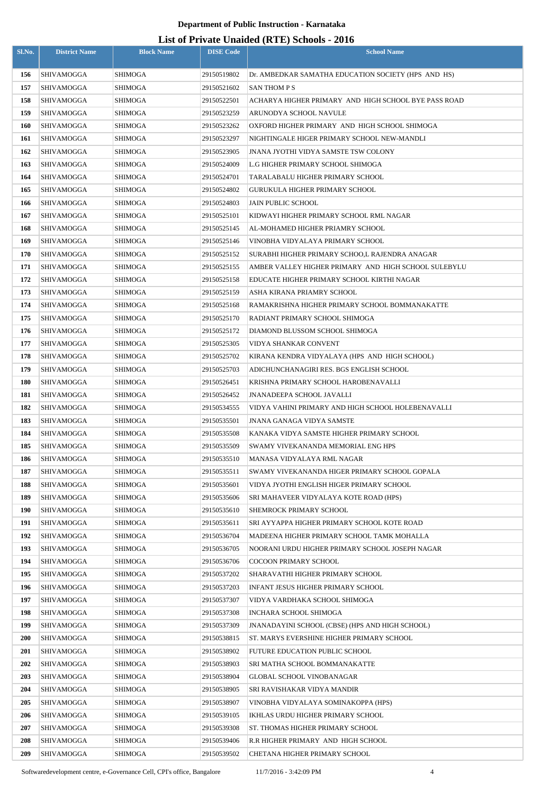| Sl.No.     | <b>District Name</b>     | <b>Block Name</b>         | <b>DISE Code</b>           | $= (-120)$<br><b>School Name</b>                                                       |
|------------|--------------------------|---------------------------|----------------------------|----------------------------------------------------------------------------------------|
| 156        | <b>SHIVAMOGGA</b>        | <b>SHIMOGA</b>            | 29150519802                | Dr. AMBEDKAR SAMATHA EDUCATION SOCIETY (HPS AND HS)                                    |
| 157        | <b>SHIVAMOGGA</b>        | <b>SHIMOGA</b>            | 29150521602                | <b>SAN THOM P S</b>                                                                    |
| 158        | <b>SHIVAMOGGA</b>        | SHIMOGA                   | 29150522501                | ACHARYA HIGHER PRIMARY AND HIGH SCHOOL BYE PASS ROAD                                   |
| 159        | <b>SHIVAMOGGA</b>        | SHIMOGA                   | 29150523259                | ARUNODYA SCHOOL NAVULE                                                                 |
| 160        | <b>SHIVAMOGGA</b>        | <b>SHIMOGA</b>            | 29150523262                | OXFORD HIGHER PRIMARY AND HIGH SCHOOL SHIMOGA                                          |
| 161        | <b>SHIVAMOGGA</b>        | <b>SHIMOGA</b>            | 29150523297                | NIGHTINGALE HIGER PRIMARY SCHOOL NEW-MANDLI                                            |
| 162        | <b>SHIVAMOGGA</b>        | <b>SHIMOGA</b>            | 29150523905                | <b>JNANA JYOTHI VIDYA SAMSTE TSW COLONY</b>                                            |
| 163        | <b>SHIVAMOGGA</b>        | <b>SHIMOGA</b>            | 29150524009                | L.G HIGHER PRIMARY SCHOOL SHIMOGA                                                      |
| 164        | <b>SHIVAMOGGA</b>        | SHIMOGA                   | 29150524701                | TARALABALU HIGHER PRIMARY SCHOOL                                                       |
| 165        | <b>SHIVAMOGGA</b>        | SHIMOGA                   | 29150524802                | GURUKULA HIGHER PRIMARY SCHOOL                                                         |
| 166        | <b>SHIVAMOGGA</b>        | SHIMOGA                   | 29150524803                | <b>JAIN PUBLIC SCHOOL</b>                                                              |
| 167        | SHIVAMOGGA               | SHIMOGA                   | 29150525101                | KIDWAYI HIGHER PRIMARY SCHOOL RML NAGAR                                                |
| 168        | <b>SHIVAMOGGA</b>        | <b>SHIMOGA</b>            | 29150525145                | AL-MOHAMED HIGHER PRIAMRY SCHOOL                                                       |
| 169        | <b>SHIVAMOGGA</b>        | SHIMOGA                   | 29150525146                | VINOBHA VIDYALAYA PRIMARY SCHOOL                                                       |
| 170        | <b>SHIVAMOGGA</b>        | <b>SHIMOGA</b>            | 29150525152                | SURABHI HIGHER PRIMARY SCHOO,L RAJENDRA ANAGAR                                         |
| 171        | SHIVAMOGGA               | <b>SHIMOGA</b>            | 29150525155                | AMBER VALLEY HIGHER PRIMARY AND HIGH SCHOOL SULEBYLU                                   |
| 172        | <b>SHIVAMOGGA</b>        | <b>SHIMOGA</b>            | 29150525158                | EDUCATE HIGHER PRIMARY SCHOOL KIRTHI NAGAR                                             |
| 173        | <b>SHIVAMOGGA</b>        | <b>SHIMOGA</b>            | 29150525159                | ASHA KIRANA PRIAMRY SCHOOL                                                             |
| 174        | SHIVAMOGGA               | SHIMOGA                   | 29150525168                | RAMAKRISHNA HIGHER PRIMARY SCHOOL BOMMANAKATTE                                         |
| 175        | SHIVAMOGGA               | SHIMOGA                   | 29150525170                | RADIANT PRIMARY SCHOOL SHIMOGA                                                         |
| 176        | <b>SHIVAMOGGA</b>        | SHIMOGA                   | 29150525172                | DIAMOND BLUSSOM SCHOOL SHIMOGA                                                         |
| 177        | <b>SHIVAMOGGA</b>        | SHIMOGA                   | 29150525305                | VIDYA SHANKAR CONVENT                                                                  |
| 178        | <b>SHIVAMOGGA</b>        | SHIMOGA                   | 29150525702                | KIRANA KENDRA VIDYALAYA (HPS AND HIGH SCHOOL)                                          |
| 179        | <b>SHIVAMOGGA</b>        | SHIMOGA                   | 29150525703                | ADICHUNCHANAGIRI RES. BGS ENGLISH SCHOOL                                               |
| 180        | <b>SHIVAMOGGA</b>        | <b>SHIMOGA</b>            | 29150526451                | KRISHNA PRIMARY SCHOOL HAROBENAVALLI                                                   |
| 181        | SHIVAMOGGA               | SHIMOGA                   | 29150526452                | JNANADEEPA SCHOOL JAVALLI                                                              |
| 182<br>183 | SHIVAMOGGA               | SHIMOGA<br><b>SHIMOGA</b> | 29150534555<br>29150535501 | VIDYA VAHINI PRIMARY AND HIGH SCHOOL HOLEBENAVALLI<br><b>JNANA GANAGA VIDYA SAMSTE</b> |
| 184        | SHIVAMOGGA<br>SHIVAMOGGA | <b>SHIMOGA</b>            | 29150535508                | KANAKA VIDYA SAMSTE HIGHER PRIMARY SCHOOL                                              |
| 185        | SHIVAMOGGA               | SHIMOGA                   | 29150535509                | SWAMY VIVEKANANDA MEMORIAL ENG HPS                                                     |
| 186        | SHIVAMOGGA               | SHIMOGA                   | 29150535510                | MANASA VIDYALAYA RML NAGAR                                                             |
| 187        | <b>SHIVAMOGGA</b>        | SHIMOGA                   | 29150535511                | SWAMY VIVEKANANDA HIGER PRIMARY SCHOOL GOPALA                                          |
| 188        | <b>SHIVAMOGGA</b>        | SHIMOGA                   | 29150535601                | VIDYA JYOTHI ENGLISH HIGER PRIMARY SCHOOL                                              |
| 189        | <b>SHIVAMOGGA</b>        | SHIMOGA                   | 29150535606                | SRI MAHAVEER VIDYALAYA KOTE ROAD (HPS)                                                 |
| 190        | SHIVAMOGGA               | SHIMOGA                   | 29150535610                | SHEMROCK PRIMARY SCHOOL                                                                |
| 191        | <b>SHIVAMOGGA</b>        | <b>SHIMOGA</b>            | 29150535611                | SRI AYYAPPA HIGHER PRIMARY SCHOOL KOTE ROAD                                            |
| 192        | <b>SHIVAMOGGA</b>        | SHIMOGA                   | 29150536704                | MADEENA HIGHER PRIMARY SCHOOL TAMK MOHALLA                                             |
| 193        | <b>SHIVAMOGGA</b>        | <b>SHIMOGA</b>            | 29150536705                | NOORANI URDU HIGHER PRIMARY SCHOOL JOSEPH NAGAR                                        |
| 194        | SHIVAMOGGA               | <b>SHIMOGA</b>            | 29150536706                | <b>COCOON PRIMARY SCHOOL</b>                                                           |
| 195        | SHIVAMOGGA               | SHIMOGA                   | 29150537202                | SHARAVATHI HIGHER PRIMARY SCHOOL                                                       |
| 196        | SHIVAMOGGA               | SHIMOGA                   | 29150537203                | INFANT JESUS HIGHER PRIMARY SCHOOL                                                     |
| 197        | SHIVAMOGGA               | <b>SHIMOGA</b>            | 29150537307                | VIDYA VARDHAKA SCHOOL SHIMOGA                                                          |
| 198        | SHIVAMOGGA               | SHIMOGA                   | 29150537308                | INCHARA SCHOOL SHIMOGA                                                                 |
| 199        | SHIVAMOGGA               | SHIMOGA                   | 29150537309                | JNANADAYINI SCHOOL (CBSE) (HPS AND HIGH SCHOOL)                                        |
| <b>200</b> | <b>SHIVAMOGGA</b>        | SHIMOGA                   | 29150538815                | ST. MARYS EVERSHINE HIGHER PRIMARY SCHOOL                                              |
| <b>201</b> | <b>SHIVAMOGGA</b>        | <b>SHIMOGA</b>            | 29150538902                | FUTURE EDUCATION PUBLIC SCHOOL                                                         |
| 202        | SHIVAMOGGA               | SHIMOGA                   | 29150538903                | SRI MATHA SCHOOL BOMMANAKATTE                                                          |
| 203        | SHIVAMOGGA               | <b>SHIMOGA</b>            | 29150538904                | <b>GLOBAL SCHOOL VINOBANAGAR</b>                                                       |
| 204        | <b>SHIVAMOGGA</b>        | <b>SHIMOGA</b>            | 29150538905                | SRI RAVISHAKAR VIDYA MANDIR                                                            |
| 205        | <b>SHIVAMOGGA</b>        | <b>SHIMOGA</b>            | 29150538907                | VINOBHA VIDYALAYA SOMINAKOPPA (HPS)                                                    |
| 206        | SHIVAMOGGA               | SHIMOGA                   | 29150539105                | IKHLAS URDU HIGHER PRIMARY SCHOOL                                                      |
| 207        | SHIVAMOGGA               | <b>SHIMOGA</b>            | 29150539308                | ST. THOMAS HIGHER PRIMARY SCHOOL                                                       |
| 208        | SHIVAMOGGA               | <b>SHIMOGA</b>            | 29150539406                | R.R HIGHER PRIMARY AND HIGH SCHOOL                                                     |
| 209        | <b>SHIVAMOGGA</b>        | SHIMOGA                   | 29150539502                | CHETANA HIGHER PRIMARY SCHOOL                                                          |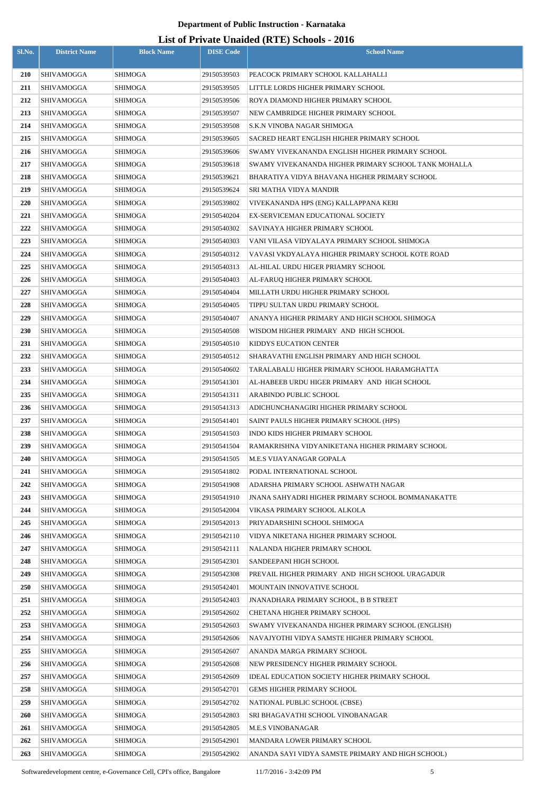| Sl.No.     | <b>District Name</b>                   | <b>Block Name</b>  | <b>DISE Code</b>           | Lest of Frivald Unafacta (KTL) Schools - 2010<br><b>School Name</b> |
|------------|----------------------------------------|--------------------|----------------------------|---------------------------------------------------------------------|
|            |                                        |                    |                            |                                                                     |
| 210        | <b>SHIVAMOGGA</b>                      | <b>SHIMOGA</b>     | 29150539503                | PEACOCK PRIMARY SCHOOL KALLAHALLI                                   |
| 211        | <b>SHIVAMOGGA</b>                      | SHIMOGA            | 29150539505                | LITTLE LORDS HIGHER PRIMARY SCHOOL                                  |
| 212        | <b>SHIVAMOGGA</b>                      | <b>SHIMOGA</b>     | 29150539506                | ROYA DIAMOND HIGHER PRIMARY SCHOOL                                  |
| 213        | SHIVAMOGGA                             | SHIMOGA            | 29150539507                | NEW CAMBRIDGE HIGHER PRIMARY SCHOOL                                 |
| 214        | <b>SHIVAMOGGA</b>                      | SHIMOGA            | 29150539508                | S.K.N VINOBA NAGAR SHIMOGA                                          |
| 215        | <b>SHIVAMOGGA</b>                      | <b>SHIMOGA</b>     | 29150539605                | SACRED HEART ENGLISH HIGHER PRIMARY SCHOOL                          |
| 216        | SHIVAMOGGA                             | SHIMOGA            | 29150539606                | SWAMY VIVEKANANDA ENGLISH HIGHER PRIMARY SCHOOL                     |
| 217<br>218 | SHIVAMOGGA                             | SHIMOGA<br>SHIMOGA | 29150539618                | SWAMY VIVEKANANDA HIGHER PRIMARY SCHOOL TANK MOHALLA                |
| 219        | SHIVAMOGGA                             |                    | 29150539621<br>29150539624 | BHARATIYA VIDYA BHAVANA HIGHER PRIMARY SCHOOL                       |
| 220        | <b>SHIVAMOGGA</b><br><b>SHIVAMOGGA</b> | SHIMOGA<br>SHIMOGA | 29150539802                | SRI MATHA VIDYA MANDIR<br>VIVEKANANDA HPS (ENG) KALLAPPANA KERI     |
| 221        | <b>SHIVAMOGGA</b>                      | SHIMOGA            | 29150540204                | EX-SERVICEMAN EDUCATIONAL SOCIETY                                   |
| 222        | <b>SHIVAMOGGA</b>                      | <b>SHIMOGA</b>     | 29150540302                | SAVINAYA HIGHER PRIMARY SCHOOL                                      |
| 223        | <b>SHIVAMOGGA</b>                      | SHIMOGA            | 29150540303                | VANI VILASA VIDYALAYA PRIMARY SCHOOL SHIMOGA                        |
| 224        | <b>SHIVAMOGGA</b>                      | SHIMOGA            | 29150540312                | VAVASI VKDYALAYA HIGHER PRIMARY SCHOOL KOTE ROAD                    |
| 225        | <b>SHIVAMOGGA</b>                      | SHIMOGA            | 29150540313                | AL-HILAL URDU HIGER PRIAMRY SCHOOL                                  |
| 226        | <b>SHIVAMOGGA</b>                      | <b>SHIMOGA</b>     | 29150540403                | AL-FARUQ HIGHER PRIMARY SCHOOL                                      |
| 227        | <b>SHIVAMOGGA</b>                      | SHIMOGA            | 29150540404                | MILLATH URDU HIGHER PRIMARY SCHOOL                                  |
| 228        | SHIVAMOGGA                             | SHIMOGA            | 29150540405                | TIPPU SULTAN URDU PRIMARY SCHOOL                                    |
| 229        | <b>SHIVAMOGGA</b>                      | SHIMOGA            | 29150540407                | ANANYA HIGHER PRIMARY AND HIGH SCHOOL SHIMOGA                       |
| 230        | <b>SHIVAMOGGA</b>                      | SHIMOGA            | 29150540508                | WISDOM HIGHER PRIMARY AND HIGH SCHOOL                               |
| 231        | <b>SHIVAMOGGA</b>                      | SHIMOGA            | 29150540510                | KIDDYS EUCATION CENTER                                              |
| 232        | SHIVAMOGGA                             | SHIMOGA            | 29150540512                | SHARAVATHI ENGLISH PRIMARY AND HIGH SCHOOL                          |
| 233        | <b>SHIVAMOGGA</b>                      | SHIMOGA            | 29150540602                | TARALABALU HIGHER PRIMARY SCHOOL HARAMGHATTA                        |
| 234        | <b>SHIVAMOGGA</b>                      | SHIMOGA            | 29150541301                | AL-HABEEB URDU HIGER PRIMARY AND HIGH SCHOOL                        |
| 235        | SHIVAMOGGA                             | <b>SHIMOGA</b>     | 29150541311                | <b>ARABINDO PUBLIC SCHOOL</b>                                       |
| 236        | SHIVAMOGGA                             | SHIMOGA            | 29150541313                | ADICHUNCHANAGIRI HIGHER PRIMARY SCHOOL                              |
| 237        | <b>SHIVAMOGGA</b>                      | <b>SHIMOGA</b>     | 29150541401                | SAINT PAULS HIGHER PRIMARY SCHOOL (HPS)                             |
| 238        | <b>SHIVAMOGGA</b>                      | SHIMOGA            | 29150541503                | INDO KIDS HIGHER PRIMARY SCHOOL                                     |
| 239        | <b>SHIVAMOGGA</b>                      | SHIMOGA            | 29150541504                | RAMAKRISHNA VIDYANIKETANA HIGHER PRIMARY SCHOOL                     |
| 240        | SHIVAMOGGA                             | SHIMOGA            | 29150541505                | M.E.S VIJAYANAGAR GOPALA                                            |
| 241        | SHIVAMOGGA                             | <b>SHIMOGA</b>     | 29150541802                | PODAL INTERNATIONAL SCHOOL                                          |
| 242        | <b>SHIVAMOGGA</b>                      | SHIMOGA            | 29150541908                | ADARSHA PRIMARY SCHOOL ASHWATH NAGAR                                |
| 243        | <b>SHIVAMOGGA</b>                      | SHIMOGA            | 29150541910                | <b>JNANA SAHYADRI HIGHER PRIMARY SCHOOL BOMMANAKATTE</b>            |
| 244        | SHIVAMOGGA                             | SHIMOGA            | 29150542004                | VIKASA PRIMARY SCHOOL ALKOLA                                        |
| 245        | <b>SHIVAMOGGA</b>                      | SHIMOGA            | 29150542013                | PRIYADARSHINI SCHOOL SHIMOGA                                        |
| 246        | <b>SHIVAMOGGA</b>                      | SHIMOGA            | 29150542110                | VIDYA NIKETANA HIGHER PRIMARY SCHOOL                                |
| 247        | <b>SHIVAMOGGA</b>                      | <b>SHIMOGA</b>     | 29150542111                | NALANDA HIGHER PRIMARY SCHOOL                                       |
| 248        | SHIVAMOGGA                             | SHIMOGA            | 29150542301                | SANDEEPANI HIGH SCHOOL                                              |
| 249        | SHIVAMOGGA                             | SHIMOGA            | 29150542308                | PREVAIL HIGHER PRIMARY AND HIGH SCHOOL URAGADUR                     |
| 250        | SHIVAMOGGA                             | SHIMOGA            | 29150542401                | MOUNTAIN INNOVATIVE SCHOOL                                          |
| 251        | SHIVAMOGGA                             | SHIMOGA            | 29150542403                | <b>JNANADHARA PRIMARY SCHOOL, B B STREET</b>                        |
| 252        | SHIVAMOGGA                             | SHIMOGA            | 29150542602                | CHETANA HIGHER PRIMARY SCHOOL                                       |
| 253        | SHIVAMOGGA                             | SHIMOGA            | 29150542603                | SWAMY VIVEKANANDA HIGHER PRIMARY SCHOOL (ENGLISH)                   |
| 254        | <b>SHIVAMOGGA</b>                      | SHIMOGA            | 29150542606                | NAVAJYOTHI VIDYA SAMSTE HIGHER PRIMARY SCHOOL                       |
| 255        | SHIVAMOGGA                             | SHIMOGA            | 29150542607                | ANANDA MARGA PRIMARY SCHOOL                                         |
| 256        | SHIVAMOGGA                             | SHIMOGA            | 29150542608                | NEW PRESIDENCY HIGHER PRIMARY SCHOOL                                |
| 257        | SHIVAMOGGA                             | SHIMOGA            | 29150542609                | IDEAL EDUCATION SOCIETY HIGHER PRIMARY SCHOOL                       |
| 258        | SHIVAMOGGA                             | SHIMOGA            | 29150542701                | <b>GEMS HIGHER PRIMARY SCHOOL</b>                                   |
| 259        | SHIVAMOGGA                             | SHIMOGA            | 29150542702                | NATIONAL PUBLIC SCHOOL (CBSE)                                       |
| <b>260</b> | SHIVAMOGGA                             | <b>SHIMOGA</b>     | 29150542803                | SRI BHAGAVATHI SCHOOL VINOBANAGAR                                   |
| 261        | SHIVAMOGGA                             | SHIMOGA            | 29150542805                | <b>M.E.S VINOBANAGAR</b>                                            |
| 262        | SHIVAMOGGA                             | SHIMOGA            | 29150542901                | MANDARA LOWER PRIMARY SCHOOL                                        |
| 263        | SHIVAMOGGA                             | SHIMOGA            | 29150542902                | ANANDA SAYI VIDYA SAMSTE PRIMARY AND HIGH SCHOOL)                   |